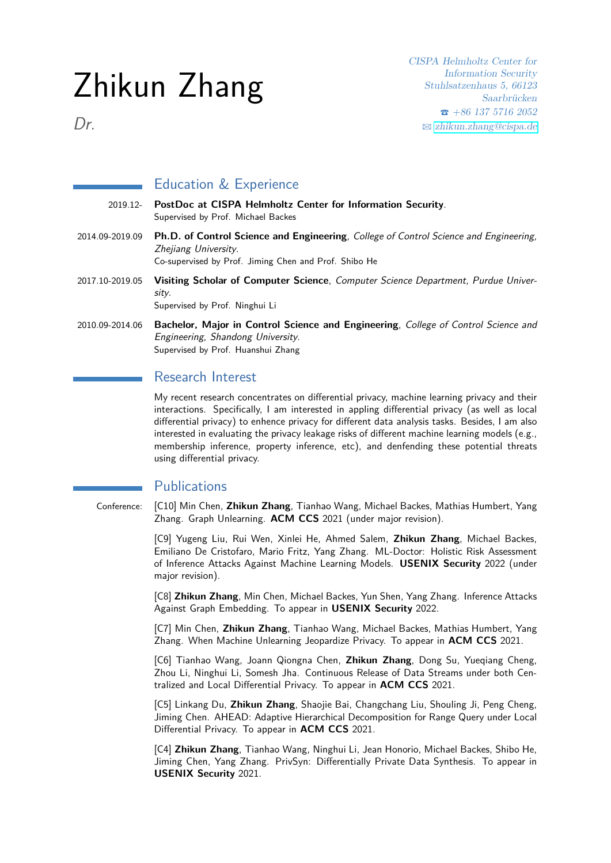# Zhikun Zhang

CISPA Helmholtz Center for Information Security Stuhlsatzenhaus 5, 66123 Saarbrücken  $\bullet$  +86 137 5716 2052 B [zhikun.zhang@cispa.de](mailto:zhikun.zhang@cispa.de)

Dr.

# Education & Experience

- 2019.12- **PostDoc at CISPA Helmholtz Center for Information Security**. Supervised by Prof. Michael Backes 2014.09-2019.09 **Ph.D. of Control Science and Engineering**, College of Control Science and Engineering, Zhejiang University. Co-supervised by Prof. Jiming Chen and Prof. Shibo He 2017.10-2019.05 **Visiting Scholar of Computer Science**, Computer Science Department, Purdue University. Supervised by Prof. Ninghui Li 2010.09-2014.06 **Bachelor, Major in Control Science and Engineering**, College of Control Science and
- Engineering, Shandong University. Supervised by Prof. Huanshui Zhang

## Research Interest

My recent research concentrates on differential privacy, machine learning privacy and their interactions. Specifically, I am interested in appling differential privacy (as well as local differential privacy) to enhence privacy for different data analysis tasks. Besides, I am also interested in evaluating the privacy leakage risks of different machine learning models (e.g., membership inference, property inference, etc), and denfending these potential threats using differential privacy.

### **Publications**

Conference: [C10] Min Chen, **Zhikun Zhang**, Tianhao Wang, Michael Backes, Mathias Humbert, Yang Zhang. Graph Unlearning. **ACM CCS** 2021 (under major revision).

> [C9] Yugeng Liu, Rui Wen, Xinlei He, Ahmed Salem, **Zhikun Zhang**, Michael Backes, Emiliano De Cristofaro, Mario Fritz, Yang Zhang. ML-Doctor: Holistic Risk Assessment of Inference Attacks Against Machine Learning Models. **USENIX Security** 2022 (under major revision).

> [C8] **Zhikun Zhang**, Min Chen, Michael Backes, Yun Shen, Yang Zhang. Inference Attacks Against Graph Embedding. To appear in **USENIX Security** 2022.

> [C7] Min Chen, **Zhikun Zhang**, Tianhao Wang, Michael Backes, Mathias Humbert, Yang Zhang. When Machine Unlearning Jeopardize Privacy. To appear in **ACM CCS** 2021.

> [C6] Tianhao Wang, Joann Qiongna Chen, **Zhikun Zhang**, Dong Su, Yueqiang Cheng, Zhou Li, Ninghui Li, Somesh Jha. Continuous Release of Data Streams under both Centralized and Local Differential Privacy. To appear in **ACM CCS** 2021.

> [C5] Linkang Du, **Zhikun Zhang**, Shaojie Bai, Changchang Liu, Shouling Ji, Peng Cheng, Jiming Chen. AHEAD: Adaptive Hierarchical Decomposition for Range Query under Local Differential Privacy. To appear in **ACM CCS** 2021.

> [C4] **Zhikun Zhang**, Tianhao Wang, Ninghui Li, Jean Honorio, Michael Backes, Shibo He, Jiming Chen, Yang Zhang. PrivSyn: Differentially Private Data Synthesis. To appear in **USENIX Security** 2021.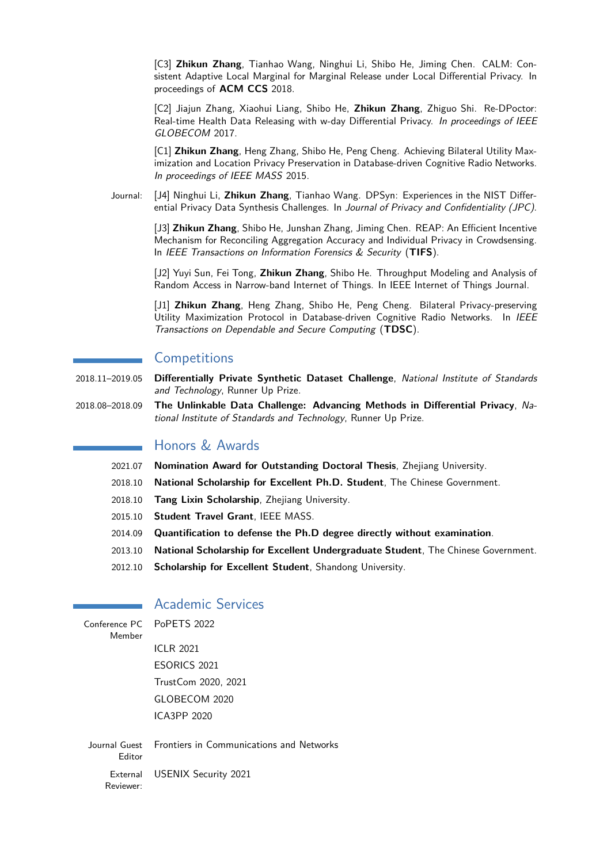[C3] **Zhikun Zhang**, Tianhao Wang, Ninghui Li, Shibo He, Jiming Chen. CALM: Consistent Adaptive Local Marginal for Marginal Release under Local Differential Privacy. In proceedings of **ACM CCS** 2018.

[C2] Jiajun Zhang, Xiaohui Liang, Shibo He, **Zhikun Zhang**, Zhiguo Shi. Re-DPoctor: Real-time Health Data Releasing with w-day Differential Privacy. In proceedings of IEEE GLOBECOM 2017.

[C1] **Zhikun Zhang**, Heng Zhang, Shibo He, Peng Cheng. Achieving Bilateral Utility Maximization and Location Privacy Preservation in Database-driven Cognitive Radio Networks. In proceedings of IEEE MASS 2015.

Journal: [J4] Ninghui Li, **Zhikun Zhang**, Tianhao Wang. DPSyn: Experiences in the NIST Differential Privacy Data Synthesis Challenges. In Journal of Privacy and Confidentiality (JPC).

> [J3] **Zhikun Zhang**, Shibo He, Junshan Zhang, Jiming Chen. REAP: An Efficient Incentive Mechanism for Reconciling Aggregation Accuracy and Individual Privacy in Crowdsensing. In IEEE Transactions on Information Forensics & Security (**TIFS**).

> [J2] Yuyi Sun, Fei Tong, **Zhikun Zhang**, Shibo He. Throughput Modeling and Analysis of Random Access in Narrow-band Internet of Things. In IEEE Internet of Things Journal.

> [J1] **Zhikun Zhang**, Heng Zhang, Shibo He, Peng Cheng. Bilateral Privacy-preserving Utility Maximization Protocol in Database-driven Cognitive Radio Networks. In IEEE Transactions on Dependable and Secure Computing (**TDSC**).

#### **Competitions**

- 2018.11–2019.05 **Differentially Private Synthetic Dataset Challenge**, National Institute of Standards and Technology, Runner Up Prize.
- 2018.08–2018.09 **The Unlinkable Data Challenge: Advancing Methods in Differential Privacy**, National Institute of Standards and Technology, Runner Up Prize.

## Honors & Awards

- 2021.07 **Nomination Award for Outstanding Doctoral Thesis**, Zhejiang University.
- 2018.10 **National Scholarship for Excellent Ph.D. Student**, The Chinese Government.
- 2018.10 **Tang Lixin Scholarship**, Zhejiang University.
- 2015.10 **Student Travel Grant**, IEEE MASS.
- 2014.09 **Quantification to defense the Ph.D degree directly without examination**.
- 2013.10 **National Scholarship for Excellent Undergraduate Student**, The Chinese Government.
- 2012.10 **Scholarship for Excellent Student**, Shandong University.

#### Academic Services

| Member    | Conference PC PoPETS 2022                              |
|-----------|--------------------------------------------------------|
|           | ICLR 2021                                              |
|           | ESORICS 2021                                           |
|           | TrustCom 2020, 2021                                    |
|           | GLOBECOM 2020                                          |
|           | ICA3PP 2020                                            |
|           |                                                        |
| Editor    | Journal Guest Frontiers in Communications and Networks |
| Reviewer: | External USENIX Security 2021                          |